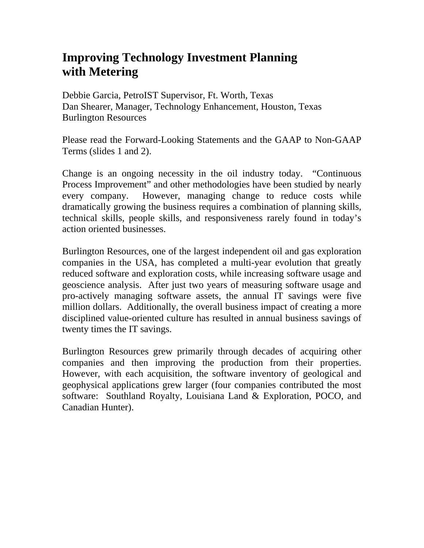## **Improving Technology Investment Planning with Metering**

Debbie Garcia, PetroIST Supervisor, Ft. Worth, Texas Dan Shearer, Manager, Technology Enhancement, Houston, Texas Burlington Resources

Please read the Forward-Looking Statements and the GAAP to Non-GAAP Terms (slides 1 and 2).

Change is an ongoing necessity in the oil industry today. "Continuous Process Improvement" and other methodologies have been studied by nearly every company. However, managing change to reduce costs while dramatically growing the business requires a combination of planning skills, technical skills, people skills, and responsiveness rarely found in today's action oriented businesses.

Burlington Resources, one of the largest independent oil and gas exploration companies in the USA, has completed a multi-year evolution that greatly reduced software and exploration costs, while increasing software usage and geoscience analysis. After just two years of measuring software usage and pro-actively managing software assets, the annual IT savings were five million dollars. Additionally, the overall business impact of creating a more disciplined value-oriented culture has resulted in annual business savings of twenty times the IT savings.

Burlington Resources grew primarily through decades of acquiring other companies and then improving the production from their properties. However, with each acquisition, the software inventory of geological and geophysical applications grew larger (four companies contributed the most software: Southland Royalty, Louisiana Land & Exploration, POCO, and Canadian Hunter).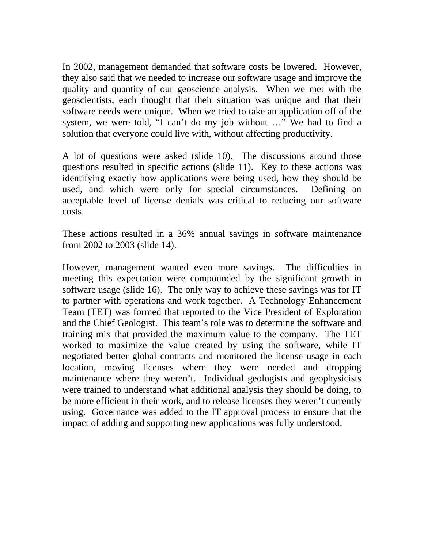In 2002, management demanded that software costs be lowered. However, they also said that we needed to increase our software usage and improve the quality and quantity of our geoscience analysis. When we met with the geoscientists, each thought that their situation was unique and that their software needs were unique. When we tried to take an application off of the system, we were told, "I can't do my job without …" We had to find a solution that everyone could live with, without affecting productivity.

A lot of questions were asked (slide 10). The discussions around those questions resulted in specific actions (slide 11). Key to these actions was identifying exactly how applications were being used, how they should be used, and which were only for special circumstances. Defining an acceptable level of license denials was critical to reducing our software costs.

These actions resulted in a 36% annual savings in software maintenance from 2002 to 2003 (slide 14).

However, management wanted even more savings. The difficulties in meeting this expectation were compounded by the significant growth in software usage (slide 16). The only way to achieve these savings was for IT to partner with operations and work together. A Technology Enhancement Team (TET) was formed that reported to the Vice President of Exploration and the Chief Geologist. This team's role was to determine the software and training mix that provided the maximum value to the company. The TET worked to maximize the value created by using the software, while IT negotiated better global contracts and monitored the license usage in each location, moving licenses where they were needed and dropping maintenance where they weren't. Individual geologists and geophysicists were trained to understand what additional analysis they should be doing, to be more efficient in their work, and to release licenses they weren't currently using. Governance was added to the IT approval process to ensure that the impact of adding and supporting new applications was fully understood.